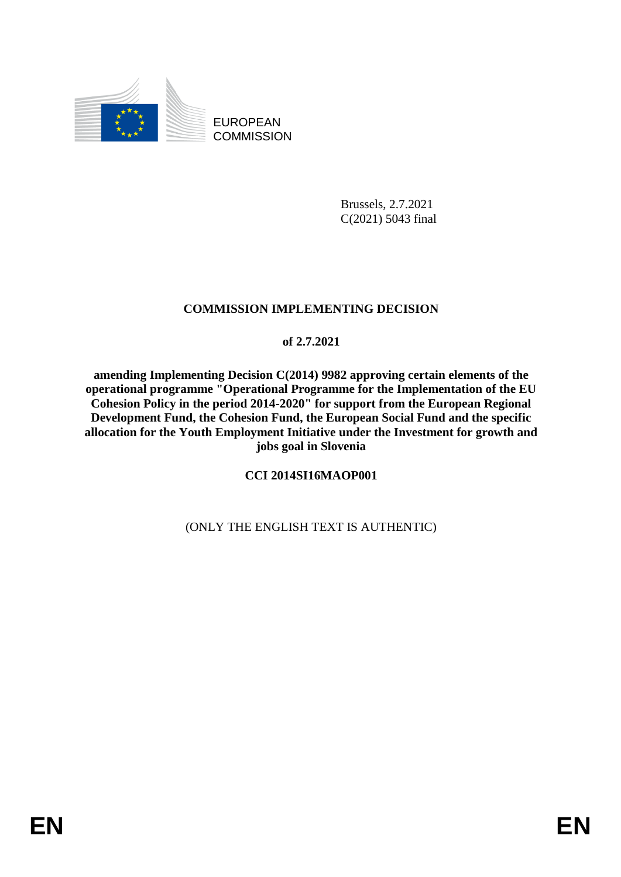

EUROPEAN **COMMISSION** 

> Brussels, 2.7.2021 C(2021) 5043 final

## **COMMISSION IMPLEMENTING DECISION**

## **of 2.7.2021**

**amending Implementing Decision C(2014) 9982 approving certain elements of the operational programme "Operational Programme for the Implementation of the EU Cohesion Policy in the period 2014-2020" for support from the European Regional Development Fund, the Cohesion Fund, the European Social Fund and the specific allocation for the Youth Employment Initiative under the Investment for growth and jobs goal in Slovenia**

# **CCI 2014SI16MAOP001**

# (ONLY THE ENGLISH TEXT IS AUTHENTIC)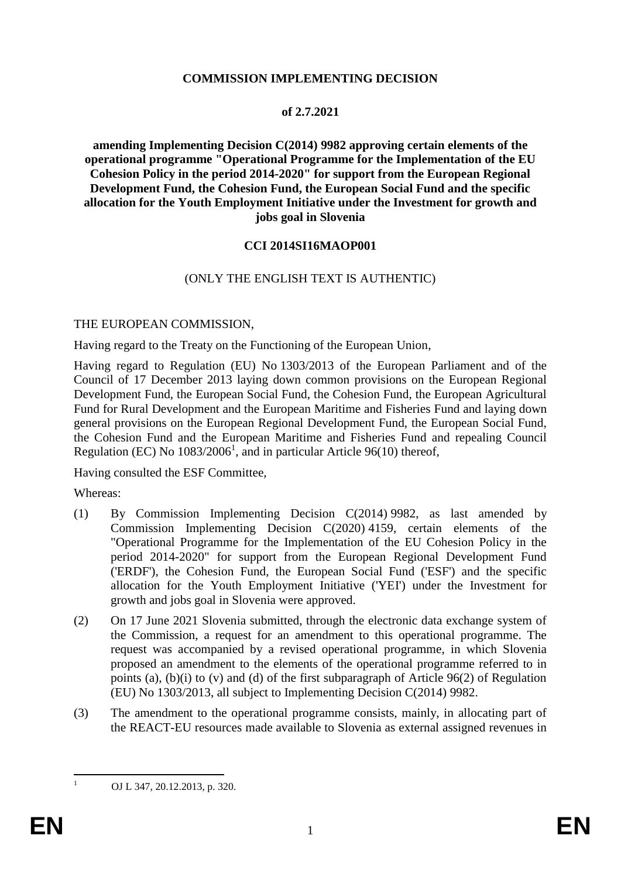#### **COMMISSION IMPLEMENTING DECISION**

#### **of 2.7.2021**

**amending Implementing Decision C(2014) 9982 approving certain elements of the operational programme "Operational Programme for the Implementation of the EU Cohesion Policy in the period 2014-2020" for support from the European Regional Development Fund, the Cohesion Fund, the European Social Fund and the specific allocation for the Youth Employment Initiative under the Investment for growth and jobs goal in Slovenia**

#### **CCI 2014SI16MAOP001**

#### (ONLY THE ENGLISH TEXT IS AUTHENTIC)

#### THE EUROPEAN COMMISSION,

Having regard to the Treaty on the Functioning of the European Union,

Having regard to Regulation (EU) No 1303/2013 of the European Parliament and of the Council of 17 December 2013 laying down common provisions on the European Regional Development Fund, the European Social Fund, the Cohesion Fund, the European Agricultural Fund for Rural Development and the European Maritime and Fisheries Fund and laying down general provisions on the European Regional Development Fund, the European Social Fund, the Cohesion Fund and the European Maritime and Fisheries Fund and repealing Council Regulation (EC) No  $1083/2006<sup>1</sup>$ , and in particular Article 96(10) thereof,

Having consulted the ESF Committee,

Whereas:

- (1) By Commission Implementing Decision C(2014) 9982, as last amended by Commission Implementing Decision C(2020) 4159, certain elements of the "Operational Programme for the Implementation of the EU Cohesion Policy in the period 2014-2020" for support from the European Regional Development Fund ('ERDF'), the Cohesion Fund, the European Social Fund ('ESF') and the specific allocation for the Youth Employment Initiative ('YEI') under the Investment for growth and jobs goal in Slovenia were approved.
- (2) On 17 June 2021 Slovenia submitted, through the electronic data exchange system of the Commission, a request for an amendment to this operational programme. The request was accompanied by a revised operational programme, in which Slovenia proposed an amendment to the elements of the operational programme referred to in points (a), (b)(i) to (v) and (d) of the first subparagraph of Article 96(2) of Regulation (EU) No 1303/2013, all subject to Implementing Decision C(2014) 9982.
- (3) The amendment to the operational programme consists, mainly, in allocating part of the REACT-EU resources made available to Slovenia as external assigned revenues in

 $\mathbf{1}$ 

<sup>1</sup> OJ L 347, 20.12.2013, p. 320.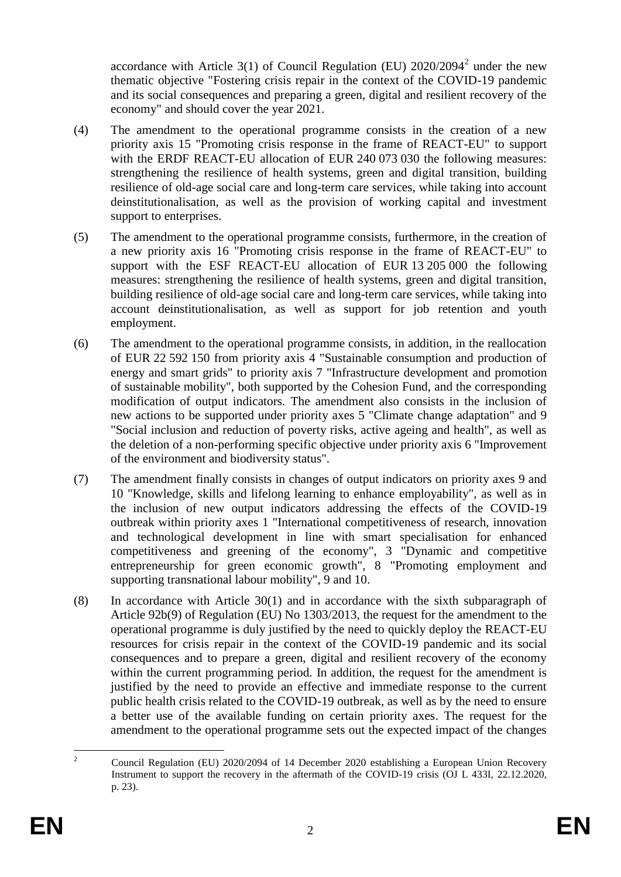accordance with Article 3(1) of Council Regulation (EU)  $2020/2094^2$  under the new thematic objective "Fostering crisis repair in the context of the COVID-19 pandemic and its social consequences and preparing a green, digital and resilient recovery of the economy" and should cover the year 2021.

- (4) The amendment to the operational programme consists in the creation of a new priority axis 15 "Promoting crisis response in the frame of REACT-EU" to support with the ERDF REACT-EU allocation of EUR 240 073 030 the following measures: strengthening the resilience of health systems, green and digital transition, building resilience of old-age social care and long-term care services, while taking into account deinstitutionalisation, as well as the provision of working capital and investment support to enterprises.
- (5) The amendment to the operational programme consists, furthermore, in the creation of a new priority axis 16 "Promoting crisis response in the frame of REACT-EU" to support with the ESF REACT-EU allocation of EUR 13 205 000 the following measures: strengthening the resilience of health systems, green and digital transition, building resilience of old-age social care and long-term care services, while taking into account deinstitutionalisation, as well as support for job retention and youth employment.
- (6) The amendment to the operational programme consists, in addition, in the reallocation of EUR 22 592 150 from priority axis 4 "Sustainable consumption and production of energy and smart grids" to priority axis 7 "Infrastructure development and promotion of sustainable mobility", both supported by the Cohesion Fund, and the corresponding modification of output indicators. The amendment also consists in the inclusion of new actions to be supported under priority axes 5 "Climate change adaptation" and 9 "Social inclusion and reduction of poverty risks, active ageing and health", as well as the deletion of a non-performing specific objective under priority axis 6 "Improvement of the environment and biodiversity status".
- (7) The amendment finally consists in changes of output indicators on priority axes 9 and 10 "Knowledge, skills and lifelong learning to enhance employability", as well as in the inclusion of new output indicators addressing the effects of the COVID-19 outbreak within priority axes 1 "International competitiveness of research, innovation and technological development in line with smart specialisation for enhanced competitiveness and greening of the economy", 3 "Dynamic and competitive entrepreneurship for green economic growth", 8 "Promoting employment and supporting transnational labour mobility", 9 and 10.
- (8) In accordance with Article 30(1) and in accordance with the sixth subparagraph of Article 92b(9) of Regulation (EU) No 1303/2013, the request for the amendment to the operational programme is duly justified by the need to quickly deploy the REACT-EU resources for crisis repair in the context of the COVID-19 pandemic and its social consequences and to prepare a green, digital and resilient recovery of the economy within the current programming period. In addition, the request for the amendment is justified by the need to provide an effective and immediate response to the current public health crisis related to the COVID-19 outbreak, as well as by the need to ensure a better use of the available funding on certain priority axes. The request for the amendment to the operational programme sets out the expected impact of the changes

 $\overline{2}$ <sup>2</sup> Council Regulation (EU) 2020/2094 of 14 December 2020 establishing a European Union Recovery Instrument to support the recovery in the aftermath of the COVID-19 crisis (OJ L 433I, 22.12.2020, p. 23).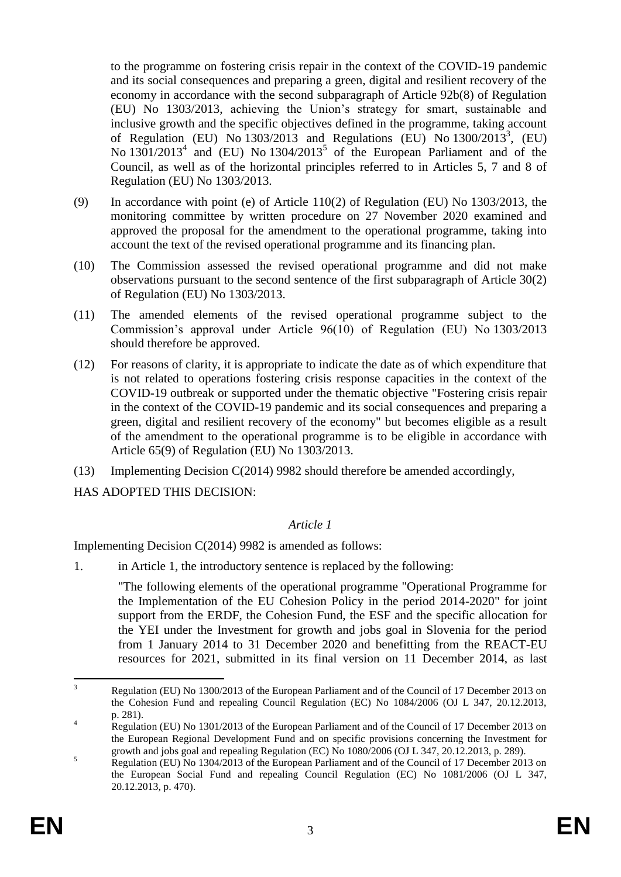to the programme on fostering crisis repair in the context of the COVID-19 pandemic and its social consequences and preparing a green, digital and resilient recovery of the economy in accordance with the second subparagraph of Article 92b(8) of Regulation (EU) No 1303/2013, achieving the Union's strategy for smart, sustainable and inclusive growth and the specific objectives defined in the programme, taking account of Regulation (EU) No  $1303/2013$  and Regulations (EU) No  $1300/2013^3$ , (EU) No  $1301/2013<sup>4</sup>$  and (EU) No  $1304/2013<sup>5</sup>$  of the European Parliament and of the Council, as well as of the horizontal principles referred to in Articles 5, 7 and 8 of Regulation (EU) No 1303/2013.

- (9) In accordance with point (e) of Article 110(2) of Regulation (EU) No 1303/2013, the monitoring committee by written procedure on 27 November 2020 examined and approved the proposal for the amendment to the operational programme, taking into account the text of the revised operational programme and its financing plan.
- (10) The Commission assessed the revised operational programme and did not make observations pursuant to the second sentence of the first subparagraph of Article 30(2) of Regulation (EU) No 1303/2013.
- (11) The amended elements of the revised operational programme subject to the Commission's approval under Article 96(10) of Regulation (EU) No 1303/2013 should therefore be approved.
- (12) For reasons of clarity, it is appropriate to indicate the date as of which expenditure that is not related to operations fostering crisis response capacities in the context of the COVID-19 outbreak or supported under the thematic objective "Fostering crisis repair in the context of the COVID-19 pandemic and its social consequences and preparing a green, digital and resilient recovery of the economy" but becomes eligible as a result of the amendment to the operational programme is to be eligible in accordance with Article 65(9) of Regulation (EU) No 1303/2013.
- (13) Implementing Decision C(2014) 9982 should therefore be amended accordingly,
- HAS ADOPTED THIS DECISION:

## *Article 1*

Implementing Decision C(2014) 9982 is amended as follows:

1. in Article 1, the introductory sentence is replaced by the following:

"The following elements of the operational programme "Operational Programme for the Implementation of the EU Cohesion Policy in the period 2014-2020" for joint support from the ERDF, the Cohesion Fund, the ESF and the specific allocation for the YEI under the Investment for growth and jobs goal in Slovenia for the period from 1 January 2014 to 31 December 2020 and benefitting from the REACT-EU resources for 2021, submitted in its final version on 11 December 2014, as last

 $\overline{3}$ Regulation (EU) No 1300/2013 of the European Parliament and of the Council of 17 December 2013 on the Cohesion Fund and repealing Council Regulation (EC) No 1084/2006 (OJ L 347, 20.12.2013, p. 281).

<sup>&</sup>lt;sup>4</sup> Regulation (EU) No 1301/2013 of the European Parliament and of the Council of 17 December 2013 on the European Regional Development Fund and on specific provisions concerning the Investment for growth and jobs goal and repealing Regulation (EC) No 1080/2006 (OJ L 347, 20.12.2013, p. 289).

<sup>&</sup>lt;sup>5</sup><br><sup>5</sup> Regulation (EU) No 1304/2013 of the European Parliament and of the Council of 17 December 2013 on the European Social Fund and repealing Council Regulation (EC) No 1081/2006 (OJ L 347, 20.12.2013, p. 470).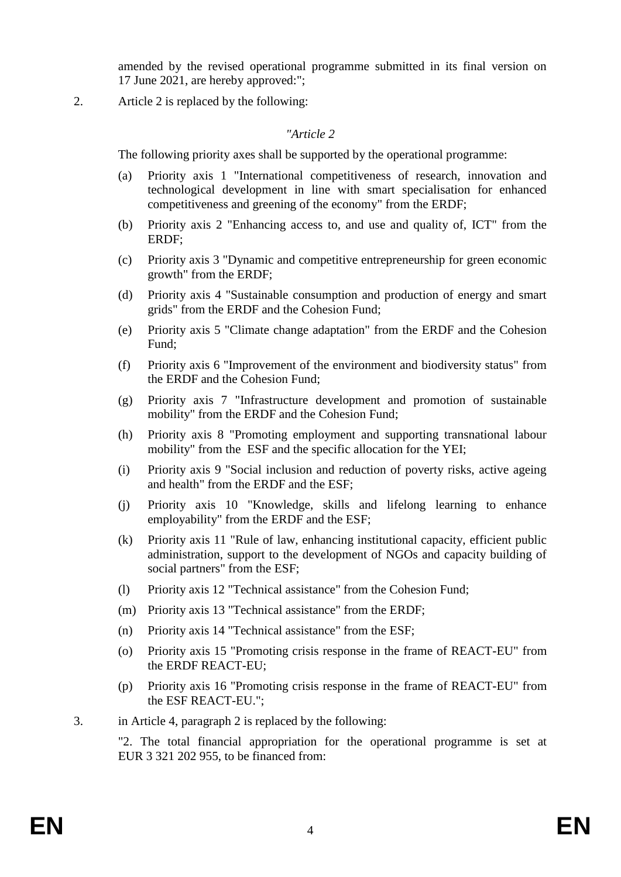amended by the revised operational programme submitted in its final version on 17 June 2021, are hereby approved:";

2. Article 2 is replaced by the following:

#### *"Article 2*

The following priority axes shall be supported by the operational programme:

- (a) Priority axis 1 "International competitiveness of research, innovation and technological development in line with smart specialisation for enhanced competitiveness and greening of the economy" from the ERDF;
- (b) Priority axis 2 "Enhancing access to, and use and quality of, ICT" from the ERDF;
- (c) Priority axis 3 "Dynamic and competitive entrepreneurship for green economic growth" from the ERDF;
- (d) Priority axis 4 "Sustainable consumption and production of energy and smart grids" from the ERDF and the Cohesion Fund;
- (e) Priority axis 5 "Climate change adaptation" from the ERDF and the Cohesion Fund;
- (f) Priority axis 6 "Improvement of the environment and biodiversity status" from the ERDF and the Cohesion Fund;
- (g) Priority axis 7 "Infrastructure development and promotion of sustainable mobility" from the ERDF and the Cohesion Fund;
- (h) Priority axis 8 "Promoting employment and supporting transnational labour mobility" from the ESF and the specific allocation for the YEI;
- (i) Priority axis 9 "Social inclusion and reduction of poverty risks, active ageing and health" from the ERDF and the ESF;
- (j) Priority axis 10 "Knowledge, skills and lifelong learning to enhance employability" from the ERDF and the ESF;
- (k) Priority axis 11 "Rule of law, enhancing institutional capacity, efficient public administration, support to the development of NGOs and capacity building of social partners" from the ESF;
- (l) Priority axis 12 "Technical assistance" from the Cohesion Fund;
- (m) Priority axis 13 "Technical assistance" from the ERDF;
- (n) Priority axis 14 "Technical assistance" from the ESF;
- (o) Priority axis 15 "Promoting crisis response in the frame of REACT-EU" from the ERDF REACT-EU;
- (p) Priority axis 16 "Promoting crisis response in the frame of REACT-EU" from the ESF REACT-EU.";
- 3. in Article 4, paragraph 2 is replaced by the following:

"2. The total financial appropriation for the operational programme is set at EUR 3 321 202 955, to be financed from: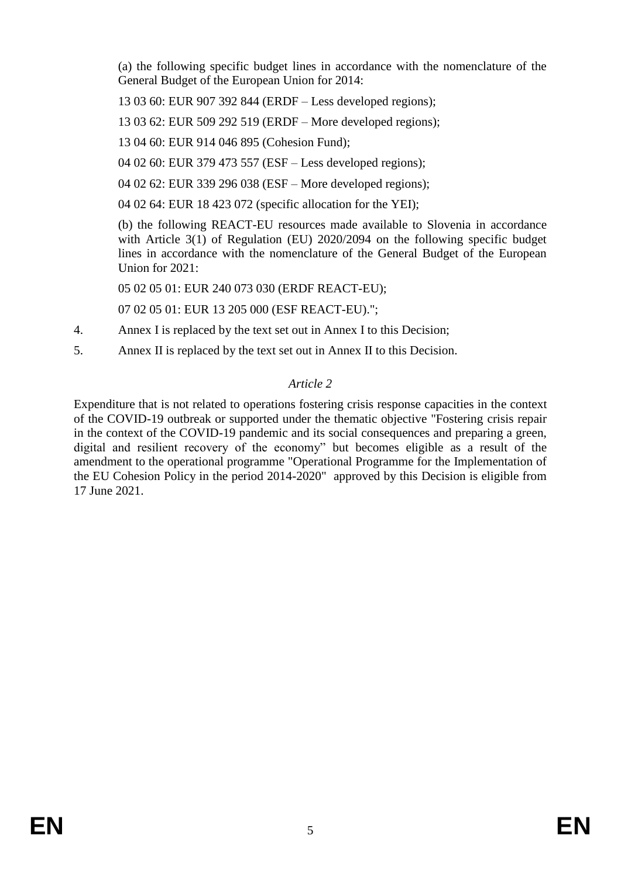(a) the following specific budget lines in accordance with the nomenclature of the General Budget of the European Union for 2014:

13 03 60: EUR 907 392 844 (ERDF – Less developed regions);

13 03 62: EUR 509 292 519 (ERDF – More developed regions);

13 04 60: EUR 914 046 895 (Cohesion Fund);

04 02 60: EUR 379 473 557 (ESF – Less developed regions);

04 02 62: EUR 339 296 038 (ESF – More developed regions);

04 02 64: EUR 18 423 072 (specific allocation for the YEI);

(b) the following REACT-EU resources made available to Slovenia in accordance with Article 3(1) of Regulation (EU) 2020/2094 on the following specific budget lines in accordance with the nomenclature of the General Budget of the European Union for 2021:

05 02 05 01: EUR 240 073 030 (ERDF REACT-EU);

07 02 05 01: EUR 13 205 000 (ESF REACT-EU).";

- 4. Annex I is replaced by the text set out in Annex I to this Decision;
- 5. Annex II is replaced by the text set out in Annex II to this Decision.

# *Article 2*

Expenditure that is not related to operations fostering crisis response capacities in the context of the COVID-19 outbreak or supported under the thematic objective "Fostering crisis repair in the context of the COVID-19 pandemic and its social consequences and preparing a green, digital and resilient recovery of the economy" but becomes eligible as a result of the amendment to the operational programme "Operational Programme for the Implementation of the EU Cohesion Policy in the period 2014-2020" approved by this Decision is eligible from 17 June 2021.